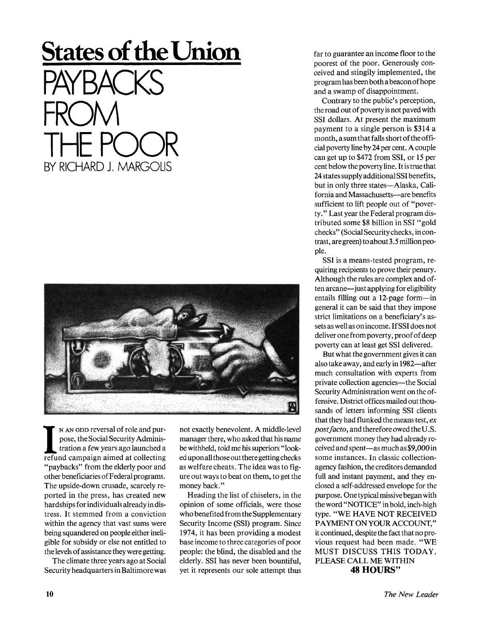## **States of the Union**  PAYBACKS FROM THE POOR BY RICHARD J. MARGOLIS



**II** N AN ODD reversal of role and purpose, the Social Security Administration a few years ago launched a refund campaign aimed at collecting N AN ODD reversal of role and purpose, the Social Security Administration a few years ago launched a "paybacks" from the elderly poor and other beneficiaries of Federal programs. The upside-down crusade, scarcely reported in the press, has created new hardships for individuals already in distress. It stemmed from a conviction within the agency that vast sums were being squandered on people either ineligible for subsidy or else not entitled to the levels of assistance they were getting.

The climate three years ago at Social Security headquarters in Baltimore was not exactly benevolent. A middle-level manager there, who asked that his name be withheld, told me his superiors "looked upon all those out there getting checks as welfare cheats. The idea was to figure out ways to beat on them, to get the money back."

Heading the list of chiselers, in the opinion of some officials, were those who benefited from the Supplementary Security Income (SSI) program. Since 1974, it has been providing a modest base income to three categories of poor people: the blind, the disabled and the elderly. SSI has never been bountiful, yet it represents our sole attempt thus

far to guarantee an income floor to the poorest of the poor. Generously conceived and stingily implemented, the program has been both abeacon of hope and a swamp of disappointment.

Contrary to the public's perception, the road out of poverty is not paved with SSI dollars. At present the maximum payment to a single person is \$314 a month, a sum that falls short of the official poverty line by 24 per cent. A couple can get up to \$472 from SSI, or 15 per cent below the poverty line. It is true that 24 states supply additional SSI benefits, but in only three states—Alaska, California and Massachusetts—are benefits sufficient to lift people out of "poverty." Last year the Federal program distributed some \$8 billion in SSI "gold checks" (Social Security checks, in contrast, are green) to about 3.5 million people.

SSI is a means-tested program, requiring recipients to prove their penury. Although the rules are complex and often arcane—just applying for eligibility entails filling out a 12-page form—in general it can be said that they impose strict limitations on a beneficiary's assets as well as on income. If SSI does not deliver one from poverty, proof of deep poverty can at least get SSI delivered.

But what the government gives it can also take away, and early in 1982—after much consultation with experts from private collection agencies—the Social Security Administration went on the offensive. District offices mailed out thousands of letters informing SSI clients that they had flunked the means test, *ex post facto*, and therefore owed the U.S. government money they had already received and spent—as much as \$9,000 in some instances. In classic collectionagency fashion, the creditors demanded full and instant payment, and they enclosed a self-addressed envelope for the purpose. One typical missive began with the word "NOTICE" in bold, inch-high type. "WE HAVE NOT RECEIVED PAYMENT ON YOUR ACCOUNT," it continued, despite the fact that no previous request had been made. "WE MUST DISCUSS THIS TODAY. PLEASE CALL ME WITHIN **48 HOURS"**